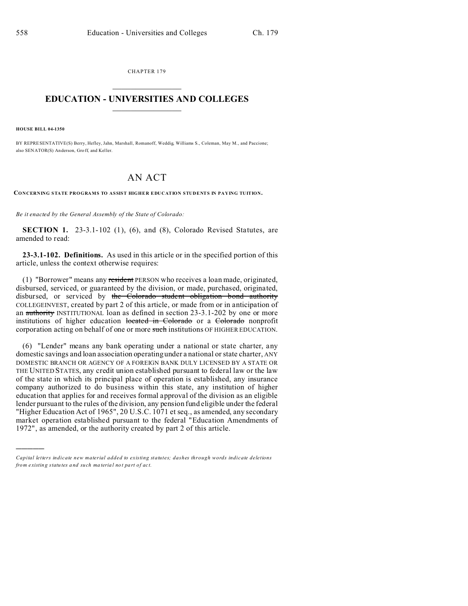CHAPTER 179  $\overline{\phantom{a}}$  , where  $\overline{\phantom{a}}$ 

# **EDUCATION - UNIVERSITIES AND COLLEGES**  $\frac{1}{2}$  ,  $\frac{1}{2}$  ,  $\frac{1}{2}$  ,  $\frac{1}{2}$  ,  $\frac{1}{2}$  ,  $\frac{1}{2}$  ,  $\frac{1}{2}$

**HOUSE BILL 04-1350**

)))))

BY REPRESENTATIVE(S) Berry, Hefley, Jahn, Marshall, Romanoff, Weddig, Williams S., Coleman, May M., and Paccione; also SENATOR(S) Anderson, Gro ff, and Keller.

# AN ACT

**CONCERNING STATE PROGRAMS TO ASSIST HIGHER EDUCATION STUDENTS IN PAYING TUITION.**

*Be it enacted by the General Assembly of the State of Colorado:*

**SECTION 1.** 23-3.1-102 (1), (6), and (8), Colorado Revised Statutes, are amended to read:

**23-3.1-102. Definitions.** As used in this article or in the specified portion of this article, unless the context otherwise requires:

(1) "Borrower" means any resident PERSON who receives a loan made, originated, disbursed, serviced, or guaranteed by the division, or made, purchased, originated, disbursed, or serviced by the Colorado student obligation bond authority COLLEGEINVEST, created by part 2 of this article, or made from or in anticipation of an authority INSTITUTIONAL loan as defined in section 23-3.1-202 by one or more institutions of higher education located in Colorado or a Colorado nonprofit corporation acting on behalf of one or more such institutions OF HIGHER EDUCATION.

(6) "Lender" means any bank operating under a national or state charter, any domestic savings and loan association operating under a national or state charter, ANY DOMESTIC BRANCH OR AGENCY OF A FOREIGN BANK DULY LICENSED BY A STATE OR THE UNITED STATES, any credit union established pursuant to federal law or the law of the state in which its principal place of operation is established, any insurance company authorized to do business within this state, any institution of higher education that applies for and receives formal approval of the division as an eligible lender pursuant to the rules of the division, any pension fund eligible under the federal "Higher Education Act of 1965", 20 U.S.C. 1071 et seq., as amended, any secondary market operation established pursuant to the federal "Education Amendments of 1972", as amended, or the authority created by part 2 of this article.

*Capital letters indicate new material added to existing statutes; dashes through words indicate deletions from e xistin g statu tes a nd such ma teria l no t pa rt of ac t.*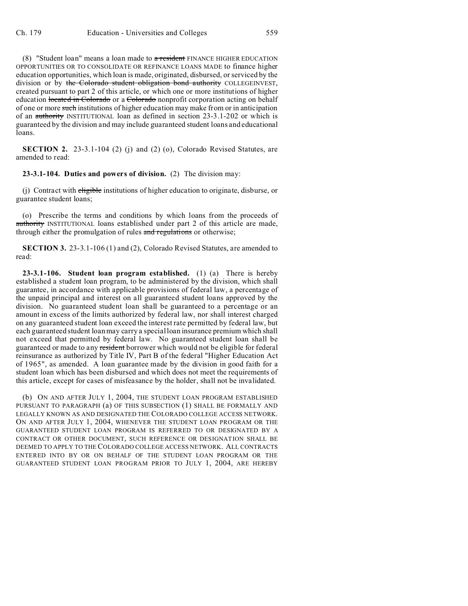(8) "Student loan" means a loan made to  $\alpha$  resident FINANCE HIGHER EDUCATION OPPORTUNITIES OR TO CONSOLIDATE OR REFINANCE LOANS MADE to finance higher education opportunities, which loan is made, originated, disbursed, or serviced by the division or by the Colorado student obligation bond authority COLLEGEINVEST, created pursuant to part 2 of this article, or which one or more institutions of higher education located in Colorado or a Colorado nonprofit corporation acting on behalf of one or more such institutions of higher education may make from or in anticipation of an authority INSTITUTIONAL loan as defined in section 23-3.1-202 or which is guaranteed by the division and may include guaranteed student loans and educational loans.

**SECTION 2.** 23-3.1-104 (2) (i) and (2) (o), Colorado Revised Statutes, are amended to read:

#### **23-3.1-104. Duties and powers of division.** (2) The division may:

(i) Contract with eligible institutions of higher education to originate, disburse, or guarantee student loans;

(o) Prescribe the terms and conditions by which loans from the proceeds of authority INSTITUTIONAL loans established under part 2 of this article are made, through either the promulgation of rules and regulations or otherwise;

**SECTION 3.** 23-3.1-106 (1) and (2), Colorado Revised Statutes, are amended to read:

**23-3.1-106. Student loan program established.** (1) (a) There is hereby established a student loan program, to be administered by the division, which shall guarantee, in accordance with applicable provisions of federal law, a percentage of the unpaid principal and interest on all guaranteed student loans approved by the division. No guaranteed student loan shall be guaranteed to a percentage or an amount in excess of the limits authorized by federal law, nor shall interest charged on any guaranteed student loan exceed the interest rate permitted by federal law, but each guaranteed student loan may carry a special loan insurance premium which shall not exceed that permitted by federal law. No guaranteed student loan shall be guaranteed or made to any resident borrower which would not be eligible for federal reinsurance as authorized by Title IV, Part B of the federal "Higher Education Act of 1965", as amended. A loan guarantee made by the division in good faith for a student loan which has been disbursed and which does not meet the requirements of this article, except for cases of misfeasance by the holder, shall not be invalidated.

(b) ON AND AFTER JULY 1, 2004, THE STUDENT LOAN PROGRAM ESTABLISHED PURSUANT TO PARAGRAPH (a) OF THIS SUBSECTION (1) SHALL BE FORMALLY AND LEGALLY KNOWN AS AND DESIGNATED THE COLORADO COLLEGE ACCESS NETWORK. ON AND AFTER JULY 1, 2004, WHENEVER THE STUDENT LOAN PROGRAM OR THE GUARANTEED STUDENT LOAN PROGRAM IS REFERRED TO OR DESIGNATED BY A CONTRACT OR OTHER DOCUMENT, SUCH REFERENCE OR DESIGNATION SHALL BE DEEMED TO APPLY TO THE COLORADO COLLEGE ACCESS NETWORK. ALL CONTRACTS ENTERED INTO BY OR ON BEHALF OF THE STUDENT LOAN PROGRAM OR THE GUARANTEED STUDENT LOAN PROGRAM PRIOR TO JULY 1, 2004, ARE HEREBY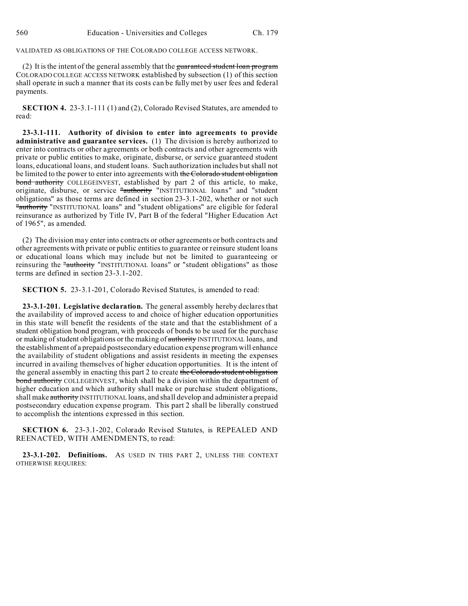VALIDATED AS OBLIGATIONS OF THE COLORADO COLLEGE ACCESS NETWORK.

(2) It is the intent of the general assembly that the guaranteed student loan program COLORADO COLLEGE ACCESS NETWORK established by subsection (1) of this section shall operate in such a manner that its costs can be fully met by user fees and federal payments.

**SECTION 4.** 23-3.1-111 (1) and (2), Colorado Revised Statutes, are amended to read:

**23-3.1-111. Authority of division to enter into agreements to provide administrative and guarantee services.** (1) The division is hereby authorized to enter into contracts or other agreements or both contracts and other agreements with private or public entities to make, originate, disburse, or service guaranteed student loans, educational loans, and student loans. Such authorization includes but shall not be limited to the power to enter into agreements with the Colorado student obligation bond authority COLLEGEINVEST, established by part 2 of this article, to make, originate, disburse, or service "authority "INSTITUTIONAL loans" and "student obligations" as those terms are defined in section 23-3.1-202, whether or not such "authority "INSTITUTIONAL loans" and "student obligations" are eligible for federal reinsurance as authorized by Title IV, Part B of the federal "Higher Education Act of 1965", as amended.

(2) The division may enter into contracts or other agreements or both contracts and other agreements with private or public entities to guarantee or reinsure student loans or educational loans which may include but not be limited to guaranteeing or reinsuring the "authority "INSTITUTIONAL loans" or "student obligations" as those terms are defined in section 23-3.1-202.

**SECTION 5.** 23-3.1-201, Colorado Revised Statutes, is amended to read:

**23-3.1-201. Legislative declaration.** The general assembly hereby declares that the availability of improved access to and choice of higher education opportunities in this state will benefit the residents of the state and that the establishment of a student obligation bond program, with proceeds of bonds to be used for the purchase or making of student obligations or the making of authority INSTITUTIONAL loans, and the establishment of a prepaid postsecondary education expense program will enhance the availability of student obligations and assist residents in meeting the expenses incurred in availing themselves of higher education opportunities. It is the intent of the general assembly in enacting this part 2 to create the Colorado student obligation bond authority COLLEGEINVEST, which shall be a division within the department of higher education and which authority shall make or purchase student obligations, shall make authority INSTITUTIONAL loans, and shall develop and administer a prepaid postsecondary education expense program. This part 2 shall be liberally construed to accomplish the intentions expressed in this section.

**SECTION 6.** 23-3.1-202, Colorado Revised Statutes, is REPEALED AND REENACTED, WITH AMENDMENTS, to read:

**23-3.1-202. Definitions.** AS USED IN THIS PART 2, UNLESS THE CONTEXT OTHERWISE REQUIRES: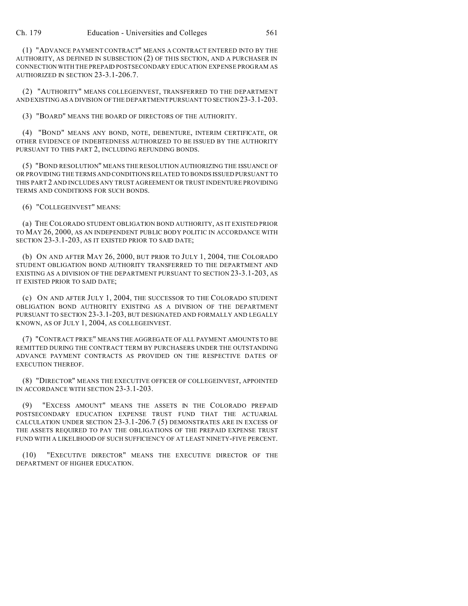(1) "ADVANCE PAYMENT CONTRACT" MEANS A CONTRACT ENTERED INTO BY THE AUTHORITY, AS DEFINED IN SUBSECTION (2) OF THIS SECTION, AND A PURCHASER IN CONNECTION WITH THE PREPAID POSTSECONDARY EDUCATION EXPENSE PROGRAM AS AUTHORIZED IN SECTION 23-3.1-206.7.

(2) "AUTHORITY" MEANS COLLEGEINVEST, TRANSFERRED TO THE DEPARTMENT AND EXISTING AS A DIVISION OF THE DEPARTMENT PURSUANT TO SECTION 23-3.1-203.

(3) "BOARD" MEANS THE BOARD OF DIRECTORS OF THE AUTHORITY.

(4) "BOND" MEANS ANY BOND, NOTE, DEBENTURE, INTERIM CERTIFICATE, OR OTHER EVIDENCE OF INDEBTEDNESS AUTHORIZED TO BE ISSUED BY THE AUTHORITY PURSUANT TO THIS PART 2, INCLUDING REFUNDING BONDS.

(5) "BOND RESOLUTION" MEANS THE RESOLUTION AUTHORIZING THE ISSUANCE OF OR PROVIDING THE TERMS AND CONDITIONS RELATED TO BONDS ISSUED PURSUANT TO THIS PART 2 AND INCLUDES ANY TRUST AGREEMENT OR TRUST INDENTURE PROVIDING TERMS AND CONDITIONS FOR SUCH BONDS.

(6) "COLLEGEINVEST" MEANS:

(a) THE COLORADO STUDENT OBLIGATION BOND AUTHORITY, AS IT EXISTED PRIOR TO MAY 26, 2000, AS AN INDEPENDENT PUBLIC BODY POLITIC IN ACCORDANCE WITH SECTION 23-3.1-203, AS IT EXISTED PRIOR TO SAID DATE;

(b) ON AND AFTER MAY 26, 2000, BUT PRIOR TO JULY 1, 2004, THE COLORADO STUDENT OBLIGATION BOND AUTHORITY TRANSFERRED TO THE DEPARTMENT AND EXISTING AS A DIVISION OF THE DEPARTMENT PURSUANT TO SECTION 23-3.1-203, AS IT EXISTED PRIOR TO SAID DATE;

(c) ON AND AFTER JULY 1, 2004, THE SUCCESSOR TO THE COLORADO STUDENT OBLIGATION BOND AUTHORITY EXISTING AS A DIVISION OF THE DEPARTMENT PURSUANT TO SECTION 23-3.1-203, BUT DESIGNATED AND FORMALLY AND LEGALLY KNOWN, AS OF JULY 1, 2004, AS COLLEGEINVEST.

(7) "CONTRACT PRICE" MEANS THE AGGREGATE OF ALL PAYMENT AMOUNTS TO BE REMITTED DURING THE CONTRACT TERM BY PURCHASERS UNDER THE OUTSTANDING ADVANCE PAYMENT CONTRACTS AS PROVIDED ON THE RESPECTIVE DATES OF EXECUTION THEREOF.

(8) "DIRECTOR" MEANS THE EXECUTIVE OFFICER OF COLLEGEINVEST, APPOINTED IN ACCORDANCE WITH SECTION 23-3.1-203.

(9) "EXCESS AMOUNT" MEANS THE ASSETS IN THE COLORADO PREPAID POSTSECONDARY EDUCATION EXPENSE TRUST FUND THAT THE ACTUARIAL CALCULATION UNDER SECTION 23-3.1-206.7 (5) DEMONSTRATES ARE IN EXCESS OF THE ASSETS REQUIRED TO PAY THE OBLIGATIONS OF THE PREPAID EXPENSE TRUST FUND WITH A LIKELIHOOD OF SUCH SUFFICIENCY OF AT LEAST NINETY-FIVE PERCENT.

(10) "EXECUTIVE DIRECTOR" MEANS THE EXECUTIVE DIRECTOR OF THE DEPARTMENT OF HIGHER EDUCATION.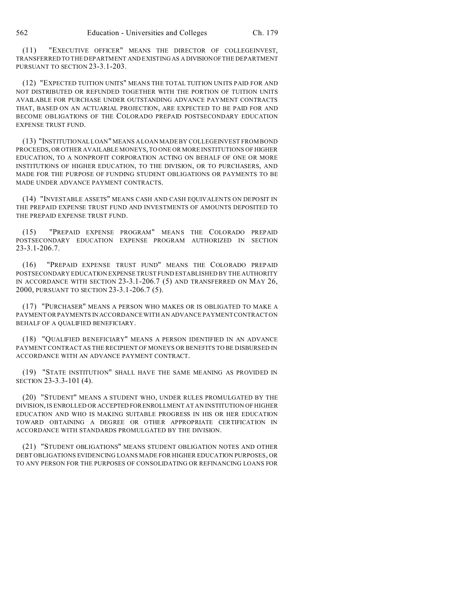(11) "EXECUTIVE OFFICER" MEANS THE DIRECTOR OF COLLEGEINVEST, TRANSFERRED TO THE DEPARTMENT AND EXISTING AS A DIVISIONOF THE DEPARTMENT PURSUANT TO SECTION 23-3.1-203.

(12) "EXPECTED TUITION UNITS" MEANS THE TOTAL TUITION UNITS PAID FOR AND NOT DISTRIBUTED OR REFUNDED TOGETHER WITH THE PORTION OF TUITION UNITS AVAILABLE FOR PURCHASE UNDER OUTSTANDING ADVANCE PAYMENT CONTRACTS THAT, BASED ON AN ACTUARIAL PROJECTION, ARE EXPECTED TO BE PAID FOR AND BECOME OBLIGATIONS OF THE COLORADO PREPAID POSTSECONDARY EDUCATION EXPENSE TRUST FUND.

(13) "INSTITUTIONAL LOAN" MEANS A LOAN MADE BY COLLEGEINVEST FROM BOND PROCEEDS, OR OTHER AVAILABLE MONEYS, TO ONE OR MORE INSTITUTIONS OF HIGHER EDUCATION, TO A NONPROFIT CORPORATION ACTING ON BEHALF OF ONE OR MORE INSTITUTIONS OF HIGHER EDUCATION, TO THE DIVISION, OR TO PURCHASERS, AND MADE FOR THE PURPOSE OF FUNDING STUDENT OBLIGATIONS OR PAYMENTS TO BE MADE UNDER ADVANCE PAYMENT CONTRACTS.

(14) "INVESTABLE ASSETS" MEANS CASH AND CASH EQUIVALENTS ON DEPOSIT IN THE PREPAID EXPENSE TRUST FUND AND INVESTMENTS OF AMOUNTS DEPOSITED TO THE PREPAID EXPENSE TRUST FUND.

(15) "PREPAID EXPENSE PROGRAM" MEANS THE COLORADO PREPAID POSTSECONDARY EDUCATION EXPENSE PROGRAM AUTHORIZED IN SECTION 23-3.1-206.7.

(16) "PREPAID EXPENSE TRUST FUND" MEANS THE COLORADO PREPAID POSTSECONDARY EDUCATION EXPENSE TRUST FUND ESTABLISHED BY THE AUTHORITY IN ACCORDANCE WITH SECTION 23-3.1-206.7 (5) AND TRANSFERRED ON MAY 26, 2000, PURSUANT TO SECTION 23-3.1-206.7 (5).

(17) "PURCHASER" MEANS A PERSON WHO MAKES OR IS OBLIGATED TO MAKE A PAYMENT OR PAYMENTS IN ACCORDANCE WITH AN ADVANCE PAYMENT CONTRACT ON BEHALF OF A QUALIFIED BENEFICIARY.

(18) "QUALIFIED BENEFICIARY" MEANS A PERSON IDENTIFIED IN AN ADVANCE PAYMENT CONTRACT AS THE RECIPIENT OF MONEYS OR BENEFITS TO BE DISBURSED IN ACCORDANCE WITH AN ADVANCE PAYMENT CONTRACT.

(19) "STATE INSTITUTION" SHALL HAVE THE SAME MEANING AS PROVIDED IN SECTION 23-3.3-101 (4).

(20) "STUDENT" MEANS A STUDENT WHO, UNDER RULES PROMULGATED BY THE DIVISION, IS ENROLLED OR ACCEPTED FORENROLLMENT AT AN INSTITUTION OF HIGHER EDUCATION AND WHO IS MAKING SUITABLE PROGRESS IN HIS OR HER EDUCATION TOWARD OBTAINING A DEGREE OR OTHER APPROPRIATE CERTIFICATION IN ACCORDANCE WITH STANDARDS PROMULGATED BY THE DIVISION.

(21) "STUDENT OBLIGATIONS" MEANS STUDENT OBLIGATION NOTES AND OTHER DEBT OBLIGATIONS EVIDENCING LOANS MADE FOR HIGHER EDUCATION PURPOSES, OR TO ANY PERSON FOR THE PURPOSES OF CONSOLIDATING OR REFINANCING LOANS FOR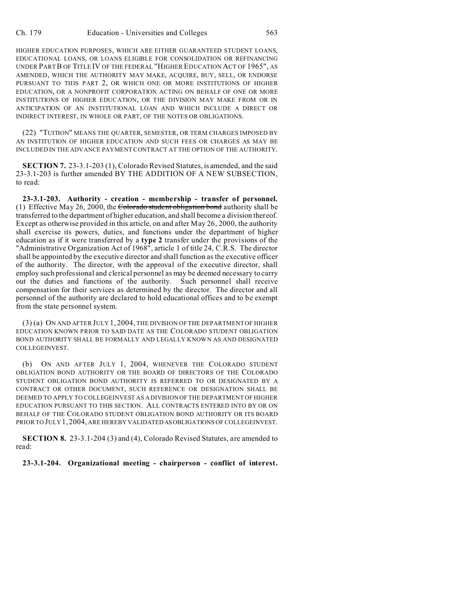HIGHER EDUCATION PURPOSES, WHICH ARE EITHER GUARANTEED STUDENT LOANS, EDUCATIONAL LOANS, OR LOANS ELIGIBLE FOR CONSOLIDATION OR REFINANCING UNDER PARTB OF TITLE IV OF THE FEDERAL "HIGHER EDUCATION ACT OF 1965", AS AMENDED, WHICH THE AUTHORITY MAY MAKE, ACQUIRE, BUY, SELL, OR ENDORSE PURSUANT TO THIS PART 2, OR WHICH ONE OR MORE INSTITUTIONS OF HIGHER EDUCATION, OR A NONPROFIT CORPORATION ACTING ON BEHALF OF ONE OR MORE INSTITUTIONS OF HIGHER EDUCATION, OR THE DIVISION MAY MAKE FROM OR IN ANTICIPATION OF AN INSTITUTIONAL LOAN AND WHICH INCLUDE A DIRECT OR INDIRECT INTEREST, IN WHOLE OR PART, OF THE NOTES OR OBLIGATIONS.

(22) "TUITION" MEANS THE QUARTER, SEMESTER, OR TERM CHARGES IMPOSED BY AN INSTITUTION OF HIGHER EDUCATION AND SUCH FEES OR CHARGES AS MAY BE INCLUDED IN THE ADVANCE PAYMENT CONTRACT AT THE OPTION OF THE AUTHORITY.

**SECTION 7.** 23-3.1-203 (1), Colorado Revised Statutes, is amended, and the said 23-3.1-203 is further amended BY THE ADDITION OF A NEW SUBSECTION, to read:

**23-3.1-203. Authority - creation - membership - transfer of personnel.** (1) Effective May 26, 2000, the Colorado student obligation bond authority shall be transferred to the department of higher education, and shall become a division thereof. Except as otherwise provided in this article, on and after May 26, 2000, the authority shall exercise its powers, duties, and functions under the department of higher education as if it were transferred by a **type 2** transfer under the provisions of the "Administrative Organization Act of 1968", article 1 of title 24, C.R.S. The director shall be appointed by the executive director and shall function as the executive officer of the authority. The director, with the approval of the executive director, shall employ such professional and clerical personnel as may be deemed necessary to carry out the duties and functions of the authority. Such personnel shall receive compensation for their services as determined by the director. The director and all personnel of the authority are declared to hold educational offices and to be exempt from the state personnel system.

(3) (a) ON AND AFTER JULY 1, 2004, THE DIVISION OF THE DEPARTMENT OF HIGHER EDUCATION KNOWN PRIOR TO SAID DATE AS THE COLORADO STUDENT OBLIGATION BOND AUTHORITY SHALL BE FORMALLY AND LEGALLY KNOWN AS AND DESIGNATED COLLEGEINVEST.

(b) ON AND AFTER JULY 1, 2004, WHENEVER THE COLORADO STUDENT OBLIGATION BOND AUTHORITY OR THE BOARD OF DIRECTORS OF THE COLORADO STUDENT OBLIGATION BOND AUTHORITY IS REFERRED TO OR DESIGNATED BY A CONTRACT OR OTHER DOCUMENT, SUCH REFERENCE OR DESIGNATION SHALL BE DEEMED TO APPLY TO COLLEGEINVEST AS A DIVISION OF THE DEPARTMENT OF HIGHER EDUCATION PURSUANT TO THIS SECTION. ALL CONTRACTS ENTERED INTO BY OR ON BEHALF OF THE COLORADO STUDENT OBLIGATION BOND AUTHORITY OR ITS BOARD PRIOR TO JULY 1, 2004, ARE HEREBY VALIDATED ASOBLIGATIONS OF COLLEGEINVEST.

**SECTION 8.** 23-3.1-204 (3) and (4), Colorado Revised Statutes, are amended to read:

**23-3.1-204. Organizational meeting - chairperson - conflict of interest.**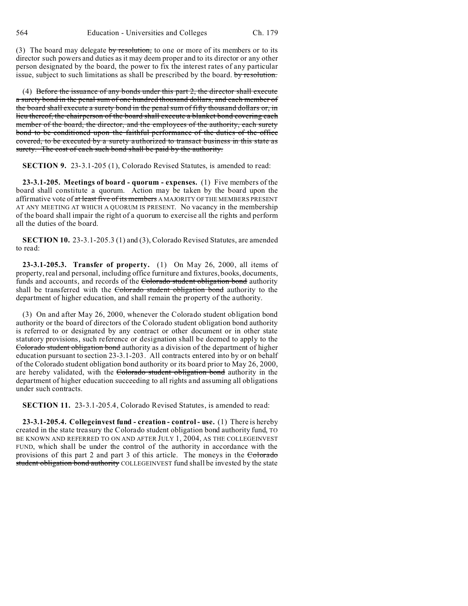(3) The board may delegate by resolution, to one or more of its members or to its director such powers and duties as it may deem proper and to its director or any other person designated by the board, the power to fix the interest rates of any particular issue, subject to such limitations as shall be prescribed by the board. by resolution.

(4) Before the issuance of any bonds under this part 2, the director shall execute a surety bond in the penal sum of one hundred thousand dollars, and each member of the board shall execute a surety bond in the penal sum of fifty thousand dollars or, in lieu thereof, the chairperson of the board shall execute a blanket bond covering each member of the board, the director, and the employees of the authority, each surety bond to be conditioned upon the faithful performance of the duties of the office covered, to be executed by a surety authorized to transact business in this state as surety. The cost of each such bond shall be paid by the authority.

**SECTION 9.** 23-3.1-205 (1), Colorado Revised Statutes, is amended to read:

**23-3.1-205. Meetings of board - quorum - expenses.** (1) Five members of the board shall constitute a quorum. Action may be taken by the board upon the affirmative vote of at least five of its members A MAJORITY OF THE MEMBERS PRESENT AT ANY MEETING AT WHICH A QUORUM IS PRESENT. No vacancy in the membership of the board shall impair the right of a quorum to exercise all the rights and perform all the duties of the board.

**SECTION 10.** 23-3.1-205.3 (1) and (3), Colorado Revised Statutes, are amended to read:

**23-3.1-205.3. Transfer of property.** (1) On May 26, 2000, all items of property, real and personal, including office furniture and fixtures, books, documents, funds and accounts, and records of the Colorado student obligation bond authority shall be transferred with the Colorado student obligation bond authority to the department of higher education, and shall remain the property of the authority.

(3) On and after May 26, 2000, whenever the Colorado student obligation bond authority or the board of directors of the Colorado student obligation bond authority is referred to or designated by any contract or other document or in other state statutory provisions, such reference or designation shall be deemed to apply to the Colorado student obligation bond authority as a division of the department of higher education pursuant to section 23-3.1-203. All contracts entered into by or on behalf of the Colorado student obligation bond authority or its board prior to May 26, 2000, are hereby validated, with the Colorado student obligation bond authority in the department of higher education succeeding to all rights and assuming all obligations under such contracts.

**SECTION 11.** 23-3.1-205.4, Colorado Revised Statutes, is amended to read:

**23-3.1-205.4. Collegeinvest fund - creation - control - use.** (1) There is hereby created in the state treasury the Colorado student obligation bond authority fund, TO BE KNOWN AND REFERRED TO ON AND AFTER JULY 1, 2004, AS THE COLLEGEINVEST FUND, which shall be under the control of the authority in accordance with the provisions of this part 2 and part 3 of this article. The moneys in the Colorado student obligation bond authority COLLEGEINVEST fund shall be invested by the state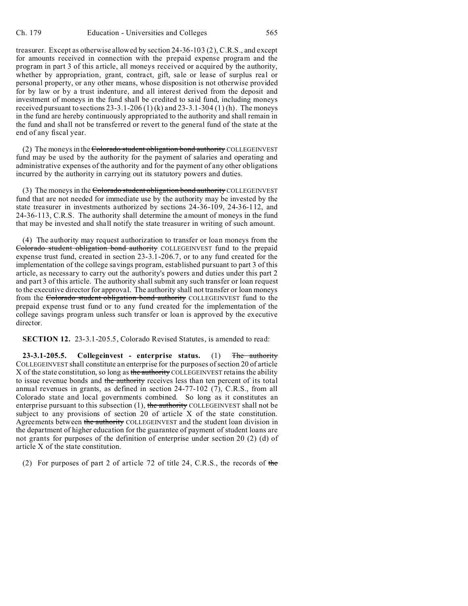treasurer. Except as otherwise allowed by section 24-36-103 (2), C.R.S., and except for amounts received in connection with the prepaid expense program and the program in part 3 of this article, all moneys received or acquired by the authority, whether by appropriation, grant, contract, gift, sale or lease of surplus real or personal property, or any other means, whose disposition is not otherwise provided for by law or by a trust indenture, and all interest derived from the deposit and investment of moneys in the fund shall be credited to said fund, including moneys received pursuant to sections  $23-3.1-206(1)$  (k) and  $23-3.1-304(1)$  (h). The moneys in the fund are hereby continuously appropriated to the authority and shall remain in the fund and shall not be transferred or revert to the general fund of the state at the end of any fiscal year.

(2) The moneys in the Colorado student obligation bond authority COLLEGEINVEST fund may be used by the authority for the payment of salaries and operating and administrative expenses of the authority and for the payment of any other obligations incurred by the authority in carrying out its statutory powers and duties.

(3) The moneys in the Colorado student obligation bond authority COLLEGEINVEST fund that are not needed for immediate use by the authority may be invested by the state treasurer in investments authorized by sections 24-36-109, 24-36-112, and 24-36-113, C.R.S. The authority shall determine the amount of moneys in the fund that may be invested and shall notify the state treasurer in writing of such amount.

(4) The authority may request authorization to transfer or loan moneys from the Colorado student obligation bond authority COLLEGEINVEST fund to the prepaid expense trust fund, created in section 23-3.1-206.7, or to any fund created for the implementation of the college savings program, established pursuant to part 3 of this article, as necessary to carry out the authority's powers and duties under this part 2 and part 3 of this article. The authority shall submit any such transfer or loan request to the executive director for approval. The authority shall not transfer or loan moneys from the Colorado student obligation bond authority COLLEGEINVEST fund to the prepaid expense trust fund or to any fund created for the implementation of the college savings program unless such transfer or loan is approved by the executive director.

**SECTION 12.** 23-3.1-205.5, Colorado Revised Statutes, is amended to read:

**23-3.1-205.5. Collegeinvest - enterprise status.** (1) The authority COLLEGEINVEST shall constitute an enterprise for the purposes of section 20 of article X of the state constitution, so long as the authority COLLEGEINVEST retains the ability to issue revenue bonds and the authority receives less than ten percent of its total annual revenues in grants, as defined in section 24-77-102 (7), C.R.S., from all Colorado state and local governments combined. So long as it constitutes an enterprise pursuant to this subsection  $(1)$ , the authority COLLEGEINVEST shall not be subject to any provisions of section 20 of article X of the state constitution. Agreements between the authority COLLEGEINVEST and the student loan division in the department of higher education for the guarantee of payment of student loans are not grants for purposes of the definition of enterprise under section 20 (2) (d) of article X of the state constitution.

(2) For purposes of part 2 of article 72 of title 24, C.R.S., the records of the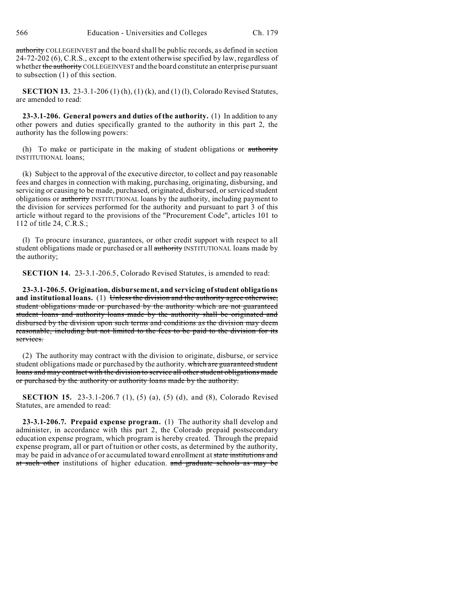authority COLLEGEINVEST and the board shall be public records, as defined in section 24-72-202 (6), C.R.S., except to the extent otherwise specified by law, regardless of whether the authority COLLEGEINVEST and the board constitute an enterprise pursuant to subsection (1) of this section.

**SECTION 13.** 23-3.1-206 (1) (h), (1) (k), and (1) (l), Colorado Revised Statutes, are amended to read:

**23-3.1-206. General powers and duties of the authority.** (1) In addition to any other powers and duties specifically granted to the authority in this part 2, the authority has the following powers:

(h) To make or participate in the making of student obligations or authority INSTITUTIONAL loans;

(k) Subject to the approval of the executive director, to collect and pay reasonable fees and charges in connection with making, purchasing, originating, disbursing, and servicing or causing to be made, purchased, originated, disbursed, or serviced student obligations or authority INSTITUTIONAL loans by the authority, including payment to the division for services performed for the authority and pursuant to part 3 of this article without regard to the provisions of the "Procurement Code", articles 101 to 112 of title 24, C.R.S.;

(l) To procure insurance, guarantees, or other credit support with respect to all student obligations made or purchased or all authority INSTITUTIONAL loans made by the authority;

**SECTION 14.** 23-3.1-206.5, Colorado Revised Statutes, is amended to read:

**23-3.1-206.5. Origination, disbursement, and servicing of student obligations** and institutional loans. (1) Unless the division and the authority agree otherwise, student obligations made or purchased by the authority which are not guaranteed student loans and authority loans made by the authority shall be originated and disbursed by the division upon such terms and conditions as the division may deem reasonable, including but not limited to the fees to be paid to the division for its services.

(2) The authority may contract with the division to originate, disburse, or service student obligations made or purchased by the authority. which are guaranteed student loans and may contract with the division to service all other student obligations made or purchased by the authority or authority loans made by the authority.

**SECTION 15.** 23-3.1-206.7 (1), (5) (a), (5) (d), and (8), Colorado Revised Statutes, are amended to read:

**23-3.1-206.7. Prepaid expense program.** (1) The authority shall develop and administer, in accordance with this part 2, the Colorado prepaid postsecondary education expense program, which program is hereby created. Through the prepaid expense program, all or part of tuition or other costs, as determined by the authority, may be paid in advance of or accumulated toward enrollment at state institutions and at such other institutions of higher education. and graduate schools as may be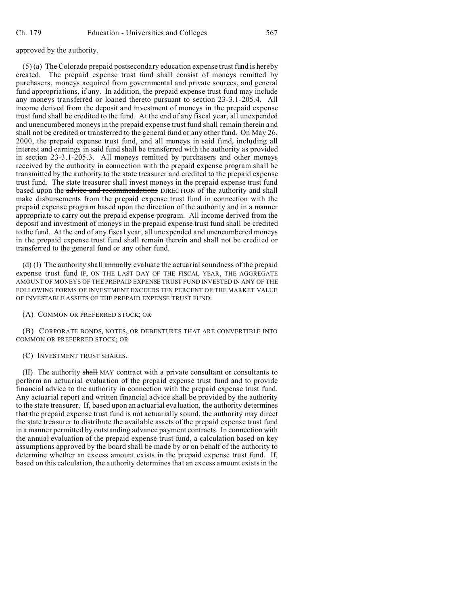## approved by the authority.

 $(5)$  (a) The Colorado prepaid postsecondary education expense trust fund is hereby created. The prepaid expense trust fund shall consist of moneys remitted by purchasers, moneys acquired from governmental and private sources, and general fund appropriations, if any. In addition, the prepaid expense trust fund may include any moneys transferred or loaned thereto pursuant to section 23-3.1-205.4. All income derived from the deposit and investment of moneys in the prepaid expense trust fund shall be credited to the fund. At the end of any fiscal year, all unexpended and unencumbered moneys in the prepaid expense trust fund shall remain therein and shall not be credited or transferred to the general fund or any other fund. On May 26, 2000, the prepaid expense trust fund, and all moneys in said fund, including all interest and earnings in said fund shall be transferred with the authority as provided in section 23-3.1-205.3. All moneys remitted by purchasers and other moneys received by the authority in connection with the prepaid expense program shall be transmitted by the authority to the state treasurer and credited to the prepaid expense trust fund. The state treasurer shall invest moneys in the prepaid expense trust fund based upon the advice and recommendations DIRECTION of the authority and shall make disbursements from the prepaid expense trust fund in connection with the prepaid expense program based upon the direction of the authority and in a manner appropriate to carry out the prepaid expense program. All income derived from the deposit and investment of moneys in the prepaid expense trust fund shall be credited to the fund. At the end of any fiscal year, all unexpended and unencumbered moneys in the prepaid expense trust fund shall remain therein and shall not be credited or transferred to the general fund or any other fund.

(d) (I) The authority shall annually evaluate the actuarial soundness of the prepaid expense trust fund IF, ON THE LAST DAY OF THE FISCAL YEAR, THE AGGREGATE AMOUNT OF MONEYS OF THE PREPAID EXPENSE TRUST FUND INVESTED IN ANY OF THE FOLLOWING FORMS OF INVESTMENT EXCEEDS TEN PERCENT OF THE MARKET VALUE OF INVESTABLE ASSETS OF THE PREPAID EXPENSE TRUST FUND:

## (A) COMMON OR PREFERRED STOCK; OR

(B) CORPORATE BONDS, NOTES, OR DEBENTURES THAT ARE CONVERTIBLE INTO COMMON OR PREFERRED STOCK; OR

#### (C) INVESTMENT TRUST SHARES.

(II) The authority shall MAY contract with a private consultant or consultants to perform an actuarial evaluation of the prepaid expense trust fund and to provide financial advice to the authority in connection with the prepaid expense trust fund. Any actuarial report and written financial advice shall be provided by the authority to the state treasurer. If, based upon an actuarial evaluation, the authority determines that the prepaid expense trust fund is not actuarially sound, the authority may direct the state treasurer to distribute the available assets of the prepaid expense trust fund in a manner permitted by outstanding advance payment contracts. In connection with the annual evaluation of the prepaid expense trust fund, a calculation based on key assumptions approved by the board shall be made by or on behalf of the authority to determine whether an excess amount exists in the prepaid expense trust fund. If, based on this calculation, the authority determines that an excess amount exists in the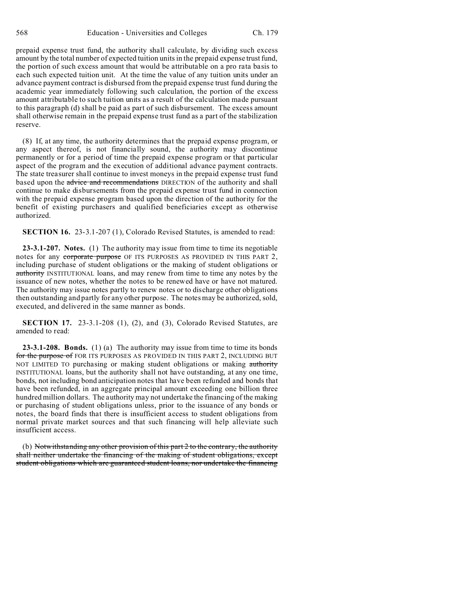prepaid expense trust fund, the authority shall calculate, by dividing such excess amount by the total number of expected tuition units in the prepaid expense trust fund, the portion of such excess amount that would be attributable on a pro rata basis to each such expected tuition unit. At the time the value of any tuition units under an advance payment contract is disbursed from the prepaid expense trust fund during the academic year immediately following such calculation, the portion of the excess amount attributable to such tuition units as a result of the calculation made pursuant to this paragraph (d) shall be paid as part of such disbursement. The excess amount shall otherwise remain in the prepaid expense trust fund as a part of the stabilization reserve.

(8) If, at any time, the authority determines that the prepaid expense program, or any aspect thereof, is not financially sound, the authority may discontinue permanently or for a period of time the prepaid expense program or that particular aspect of the program and the execution of additional advance payment contracts. The state treasurer shall continue to invest moneys in the prepaid expense trust fund based upon the advice and recommendations DIRECTION of the authority and shall continue to make disbursements from the prepaid expense trust fund in connection with the prepaid expense program based upon the direction of the authority for the benefit of existing purchasers and qualified beneficiaries except as otherwise authorized.

**SECTION 16.** 23-3.1-207 (1), Colorado Revised Statutes, is amended to read:

**23-3.1-207. Notes.** (1) The authority may issue from time to time its negotiable notes for any corporate purpose OF ITS PURPOSES AS PROVIDED IN THIS PART 2, including purchase of student obligations or the making of student obligations or authority INSTITUTIONAL loans, and may renew from time to time any notes by the issuance of new notes, whether the notes to be renewed have or have not matured. The authority may issue notes partly to renew notes or to discharge other obligations then outstanding and partly for any other purpose. The notes may be authorized, sold, executed, and delivered in the same manner as bonds.

**SECTION 17.** 23-3.1-208 (1), (2), and (3), Colorado Revised Statutes, are amended to read:

**23-3.1-208. Bonds.** (1) (a) The authority may issue from time to time its bonds for the purpose of FOR ITS PURPOSES AS PROVIDED IN THIS PART 2, INCLUDING BUT NOT LIMITED TO purchasing or making student obligations or making authority INSTITUTIONAL loans, but the authority shall not have outstanding, at any one time, bonds, not including bond anticipation notes that have been refunded and bonds that have been refunded, in an aggregate principal amount exceeding one billion three hundred million dollars. The authority may not undertake the financing of the making or purchasing of student obligations unless, prior to the issuance of any bonds or notes, the board finds that there is insufficient access to student obligations from normal private market sources and that such financing will help alleviate such insufficient access.

(b) Notwithstanding any other provision of this part 2 to the contrary, the authority shall neither undertake the financing of the making of student obligations, except student obligations which are guaranteed student loans, nor undertake the financing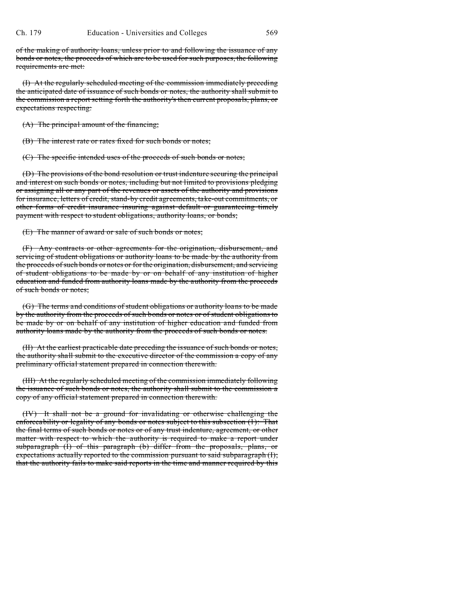of the making of authority loans, unless prior to and following the issuance of any bonds or notes, the proceeds of which are to be used for such purposes, the following requirements are met:

(I) At the regularly scheduled meeting of the commission immediately preceding the anticipated date of issuance of such bonds or notes, the authority shall submit to the commission a report setting forth the authority's then current proposals, plans, or expectations respecting:

(A) The principal amount of the financing;

(B) The interest rate or rates fixed for such bonds or notes;

(C) The specific intended uses of the proceeds of such bonds or notes;

(D) The provisions of the bond resolution or trust indenture securing the principal and interest on such bonds or notes, including but not limited to provisions pledging or assigning all or any part of the revenues or assets of the authority and provisions for insurance, letters of credit, stand-by credit agreements, take-out commitments, or other forms of credit insurance insuring against default or guaranteeing timely payment with respect to student obligations, authority loans, or bonds;

(E) The manner of award or sale of such bonds or notes;

(F) Any contracts or other agreements for the origination, disbursement, and servicing of student obligations or authority loans to be made by the authority from the proceeds of such bonds or notes or for the origination, disbursement, and servicing of student obligations to be made by or on behalf of any institution of higher education and funded from authority loans made by the authority from the proceeds of such bonds or notes;

(G) The terms and conditions of student obligations or authority loans to be made by the authority from the proceeds of such bonds or notes or of student obligations to be made by or on behalf of any institution of higher education and funded from authority loans made by the authority from the proceeds of such bonds or notes.

(II) At the earliest practicable date preceding the issuance of such bonds or notes, the authority shall submit to the executive director of the commission a copy of any preliminary official statement prepared in connection therewith.

(III) At the regularly scheduled meeting of the commission immediately following the issuance of such bonds or notes, the authority shall submit to the commission a copy of any official statement prepared in connection therewith.

(IV) It shall not be a ground for invalidating or otherwise challenging the enforceability or legality of any bonds or notes subject to this subsection (1): That the final terms of such bonds or notes or of any trust indenture, agreement, or other matter with respect to which the authority is required to make a report under subparagraph (I) of this paragraph (b) differ from the proposals, plans, or expectations actually reported to the commission pursuant to said subparagraph (I); that the authority fails to make said reports in the time and manner required by this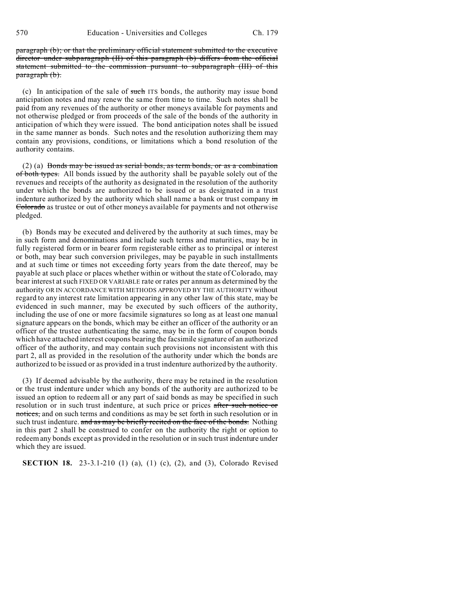paragraph (b); or that the preliminary official statement submitted to the executive director under subparagraph (II) of this paragraph (b) differs from the official statement submitted to the commission pursuant to subparagraph (III) of this paragraph (b).

(c) In anticipation of the sale of such ITS bonds, the authority may issue bond anticipation notes and may renew the same from time to time. Such notes shall be paid from any revenues of the authority or other moneys available for payments and not otherwise pledged or from proceeds of the sale of the bonds of the authority in anticipation of which they were issued. The bond anticipation notes shall be issued in the same manner as bonds. Such notes and the resolution authorizing them may contain any provisions, conditions, or limitations which a bond resolution of the authority contains.

(2) (a) Bonds may be issued as serial bonds, as term bonds, or as a combination of both types. All bonds issued by the authority shall be payable solely out of the revenues and receipts of the authority as designated in the resolution of the authority under which the bonds are authorized to be issued or as designated in a trust indenture authorized by the authority which shall name a bank or trust company  $\frac{1}{2}$ Colorado as trustee or out of other moneys available for payments and not otherwise pledged.

(b) Bonds may be executed and delivered by the authority at such times, may be in such form and denominations and include such terms and maturities, may be in fully registered form or in bearer form registerable either as to principal or interest or both, may bear such conversion privileges, may be payable in such installments and at such time or times not exceeding forty years from the date thereof, may be payable at such place or places whether within or without the state of Colorado, may bear interest at such FIXED OR VARIABLE rate or rates per annum as determined by the authority OR IN ACCORDANCE WITH METHODS APPROVED BY THE AUTHORITY without regard to any interest rate limitation appearing in any other law of this state, may be evidenced in such manner, may be executed by such officers of the authority, including the use of one or more facsimile signatures so long as at least one manual signature appears on the bonds, which may be either an officer of the authority or an officer of the trustee authenticating the same, may be in the form of coupon bonds which have attached interest coupons bearing the facsimile signature of an authorized officer of the authority, and may contain such provisions not inconsistent with this part 2, all as provided in the resolution of the authority under which the bonds are authorized to be issued or as provided in a trust indenture authorized by the authority.

(3) If deemed advisable by the authority, there may be retained in the resolution or the trust indenture under which any bonds of the authority are authorized to be issued an option to redeem all or any part of said bonds as may be specified in such resolution or in such trust indenture, at such price or prices after such notice or notices, and on such terms and conditions as may be set forth in such resolution or in such trust indenture. and as may be briefly recited on the face of the bonds. Nothing in this part 2 shall be construed to confer on the authority the right or option to redeem any bonds except as provided in the resolution or in such trust indenture under which they are issued.

**SECTION 18.** 23-3.1-210 (1) (a), (1) (c), (2), and (3), Colorado Revised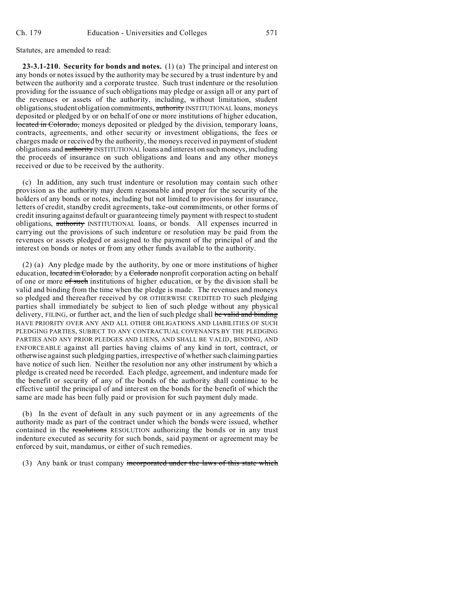Statutes, are amended to read:

**23-3.1-210. Security for bonds and notes.** (1) (a) The principal and interest on any bonds or notes issued by the authority may be secured by a trust indenture by and between the authority and a corporate trustee. Such trust indenture or the resolution providing for the issuance of such obligations may pledge or assign all or any part of the revenues or assets of the authority, including, without limitation, student obligations, student obligation commitments, authority INSTITUTIONAL loans, moneys deposited or pledged by or on behalf of one or more institutions of higher education, located in Colorado, moneys deposited or pledged by the division, temporary loans, contracts, agreements, and other security or investment obligations, the fees or charges made or received by the authority, the moneys received in payment of student obligations and authority INSTITUTIONAL loans and interest on such moneys, including the proceeds of insurance on such obligations and loans and any other moneys received or due to be received by the authority.

(c) In addition, any such trust indenture or resolution may contain such other provision as the authority may deem reasonable and proper for the security of the holders of any bonds or notes, including but not limited to provisions for insurance, letters of credit, standby credit agreements, take-out commitments, or other forms of credit insuring against default or guaranteeing timely payment with respect to student obligations, authority INSTITUTIONAL loans, or bonds. All expenses incurred in carrying out the provisions of such indenture or resolution may be paid from the revenues or assets pledged or assigned to the payment of the principal of and the interest on bonds or notes or from any other funds available to the authority.

(2) (a) Any pledge made by the authority, by one or more institutions of higher education, located in Colorado, by a Colorado nonprofit corporation acting on behalf of one or more of such institutions of higher education, or by the division shall be valid and binding from the time when the pledge is made. The revenues and moneys so pledged and thereafter received by OR OTHERWISE CREDITED TO such pledging parties shall immediately be subject to lien of such pledge without any physical delivery, FILING, or further act, and the lien of such pledge shall be valid and binding HAVE PRIORITY OVER ANY AND ALL OTHER OBLIGATIONS AND LIABILITIES OF SUCH PLEDGING PARTIES, SUBJECT TO ANY CONTRACTUAL COVENANTS BY THE PLEDGING PARTIES AND ANY PRIOR PLEDGES AND LIENS, AND SHALL BE VALID, BINDING, AND ENFORCEABLE against all parties having claims of any kind in tort, contract, or otherwise against such pledging parties, irrespective of whether such claiming parties have notice of such lien. Neither the resolution nor any other instrument by which a pledge is created need be recorded. Each pledge, agreement, and indenture made for the benefit or security of any of the bonds of the authority shall continue to be effective until the principal of and interest on the bonds for the benefit of which the same are made has been fully paid or provision for such payment duly made.

(b) In the event of default in any such payment or in any agreements of the authority made as part of the contract under which the bonds were issued, whether contained in the resolutions RESOLUTION authorizing the bonds or in any trust indenture executed as security for such bonds, said payment or agreement may be enforced by suit, mandamus, or either of such remedies.

(3) Any bank or trust company incorporated under the laws of this state which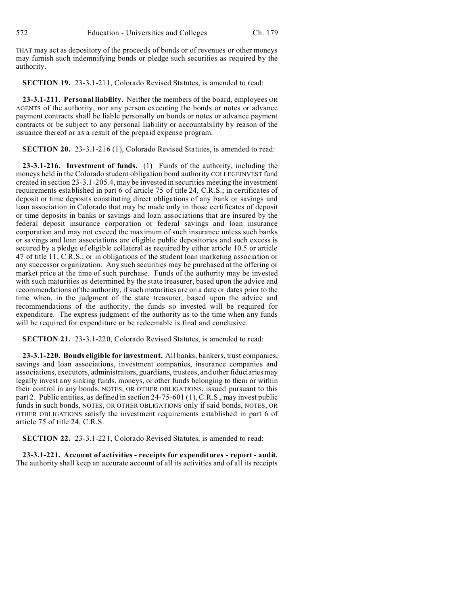THAT may act as depository of the proceeds of bonds or of revenues or other moneys may furnish such indemnifying bonds or pledge such securities as required by the authority.

**SECTION 19.** 23-3.1-211, Colorado Revised Statutes, is amended to read:

**23-3.1-211. Personal liability.** Neither the members of the board, employees OR AGENTS of the authority, nor any person executing the bonds or notes or advance payment contracts shall be liable personally on bonds or notes or advance payment contracts or be subject to any personal liability or accountability by reason of the issuance thereof or as a result of the prepaid expense program.

**SECTION 20.** 23-3.1-216 (1), Colorado Revised Statutes, is amended to read:

**23-3.1-216. Investment of funds.** (1) Funds of the authority, including the moneys held in the Colorado student obligation bond authority COLLEGEINVEST fund created in section 23-3.1-205.4, may be invested in securities meeting the investment requirements established in part 6 of article 75 of title 24, C.R.S.; in certificates of deposit or time deposits constituting direct obligations of any bank or savings and loan association in Colorado that may be made only in those certificates of deposit or time deposits in banks or savings and loan associations that are insured by the federal deposit insurance corporation or federal savings and loan insurance corporation and may not exceed the maximum of such insurance unless such banks or savings and loan associations are eligible public depositories and such excess is secured by a pledge of eligible collateral as required by either article 10.5 or article 47 of title 11, C.R.S.; or in obligations of the student loan marketing association or any successor organization. Any such securities may be purchased at the offering or market price at the time of such purchase. Funds of the authority may be invested with such maturities as determined by the state treasurer, based upon the advice and recommendations of the authority, if such maturities are on a date or dates prior to the time when, in the judgment of the state treasurer, based upon the advice and recommendations of the authority, the funds so invested will be required for expenditure. The express judgment of the authority as to the time when any funds will be required for expenditure or be redeemable is final and conclusive.

**SECTION 21.** 23-3.1-220, Colorado Revised Statutes, is amended to read:

**23-3.1-220. Bonds eligible for investment.** All banks, bankers, trust companies, savings and loan associations, investment companies, insurance companies and associations, executors, administrators, guardians, trustees, and other fiduciaries may legally invest any sinking funds, moneys, or other funds belonging to them or within their control in any bonds, NOTES, OR OTHER OBLIGATIONS, issued pursuant to this part 2. Public entities, as defined in section 24-75-601 (1), C.R.S., may invest public funds in such bonds, NOTES, OR OTHER OBLIGATIONS only if said bonds, NOTES, OR OTHER OBLIGATIONS satisfy the investment requirements established in part 6 of article 75 of title 24, C.R.S.

**SECTION 22.** 23-3.1-221, Colorado Revised Statutes, is amended to read:

**23-3.1-221. Account of activities - receipts for expenditures - report - audit.** The authority shall keep an accurate account of all its activities and of all its receipts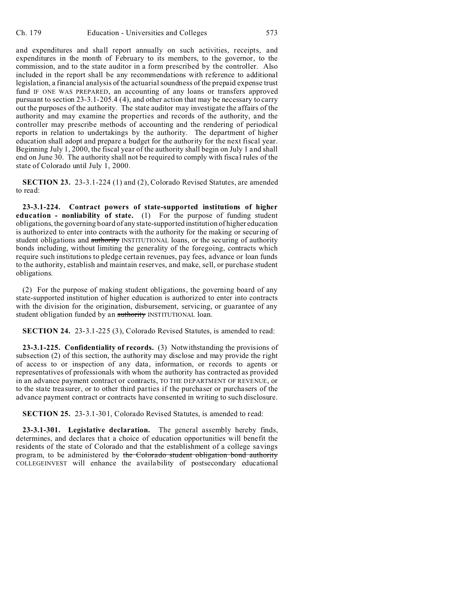and expenditures and shall report annually on such activities, receipts, and expenditures in the month of February to its members, to the governor, to the commission, and to the state auditor in a form prescribed by the controller. Also included in the report shall be any recommendations with reference to additional legislation, a financial analysis of the actuarial soundness of the prepaid expense trust fund IF ONE WAS PREPARED, an accounting of any loans or transfers approved pursuant to section 23-3.1-205.4 (4), and other action that may be necessary to carry out the purposes of the authority. The state auditor may investigate the affairs of the authority and may examine the properties and records of the authority, and the controller may prescribe methods of accounting and the rendering of periodical reports in relation to undertakings by the authority. The department of higher education shall adopt and prepare a budget for the authority for the next fiscal year. Beginning July 1, 2000, the fiscal year of the authority shall begin on July 1 and shall end on June 30. The authority shall not be required to comply with fiscal rules of the state of Colorado until July 1, 2000.

**SECTION 23.** 23-3.1-224 (1) and (2), Colorado Revised Statutes, are amended to read:

**23-3.1-224. Contract powers of state-supported institutions of higher education - nonliability of state.** (1) For the purpose of funding student obligations, the governing board of any state-supported institution of higher education is authorized to enter into contracts with the authority for the making or securing of student obligations and authority INSTITUTIONAL loans, or the securing of authority bonds including, without limiting the generality of the foregoing, contracts which require such institutions to pledge certain revenues, pay fees, advance or loan funds to the authority, establish and maintain reserves, and make, sell, or purchase student obligations.

(2) For the purpose of making student obligations, the governing board of any state-supported institution of higher education is authorized to enter into contracts with the division for the origination, disbursement, servicing, or guarantee of any student obligation funded by an authority INSTITUTIONAL loan.

**SECTION 24.** 23-3.1-225 (3), Colorado Revised Statutes, is amended to read:

**23-3.1-225. Confidentiality of records.** (3) Notwithstanding the provisions of subsection (2) of this section, the authority may disclose and may provide the right of access to or inspection of any data, information, or records to agents or representatives of professionals with whom the authority has contracted as provided in an advance payment contract or contracts, TO THE DEPARTMENT OF REVENUE, or to the state treasurer, or to other third parties if the purchaser or purchasers of the advance payment contract or contracts have consented in writing to such disclosure.

**SECTION 25.** 23-3.1-301, Colorado Revised Statutes, is amended to read:

**23-3.1-301. Legislative declaration.** The general assembly hereby finds, determines, and declares that a choice of education opportunities will benefit the residents of the state of Colorado and that the establishment of a college savings program, to be administered by the Colorado student obligation bond authority COLLEGEINVEST will enhance the availability of postsecondary educational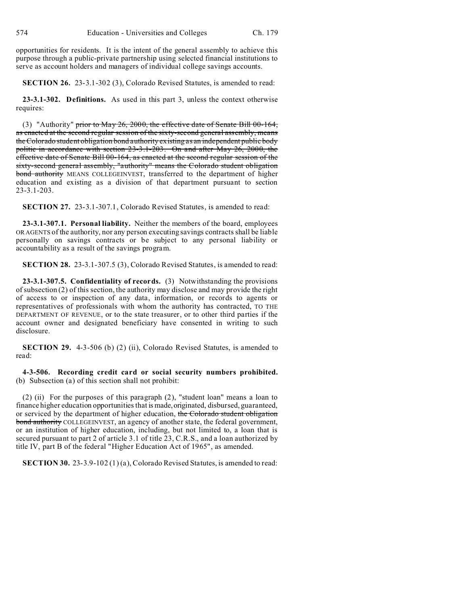opportunities for residents. It is the intent of the general assembly to achieve this purpose through a public-private partnership using selected financial institutions to serve as account holders and managers of individual college savings accounts.

**SECTION 26.** 23-3.1-302 (3), Colorado Revised Statutes, is amended to read:

**23-3.1-302. Definitions.** As used in this part 3, unless the context otherwise requires:

(3) "Authority" prior to May 26, 2000, the effective date of Senate Bill 00-164, as enacted at the second regular session of the sixty-second general assembly, means the Colorado student obligation bond authority existing as an independent public body politic in accordance with section 23-3.1-203. On and after May 26, 2000, the effective date of Senate Bill 00-164, as enacted at the second regular session of the sixty-second general assembly, "authority" means the Colorado student obligation bond authority MEANS COLLEGEINVEST, transferred to the department of higher education and existing as a division of that department pursuant to section 23-3.1-203.

**SECTION 27.** 23-3.1-307.1, Colorado Revised Statutes, is amended to read:

**23-3.1-307.1. Personal liability.** Neither the members of the board, employees OR AGENTS of the authority, nor any person executing savings contracts shall be liable personally on savings contracts or be subject to any personal liability or accountability as a result of the savings program.

**SECTION 28.** 23-3.1-307.5 (3), Colorado Revised Statutes, is amended to read:

**23-3.1-307.5. Confidentiality of records.** (3) Notwithstanding the provisions of subsection (2) of this section, the authority may disclose and may provide the right of access to or inspection of any data, information, or records to agents or representatives of professionals with whom the authority has contracted, TO THE DEPARTMENT OF REVENUE, or to the state treasurer, or to other third parties if the account owner and designated beneficiary have consented in writing to such disclosure.

**SECTION 29.** 4-3-506 (b) (2) (ii), Colorado Revised Statutes, is amended to read:

**4-3-506. Recording credit card or social security numbers prohibited.** (b) Subsection (a) of this section shall not prohibit:

(2) (ii) For the purposes of this paragraph (2), "student loan" means a loan to finance higher education opportunities that is made,originated, disbursed, guaranteed, or serviced by the department of higher education, the Colorado student obligation bond authority COLLEGEINVEST, an agency of another state, the federal government, or an institution of higher education, including, but not limited to, a loan that is secured pursuant to part 2 of article 3.1 of title 23, C.R.S., and a loan authorized by title IV, part B of the federal "Higher Education Act of 1965", as amended.

**SECTION 30.** 23-3.9-102 (1) (a), Colorado Revised Statutes, is amended to read: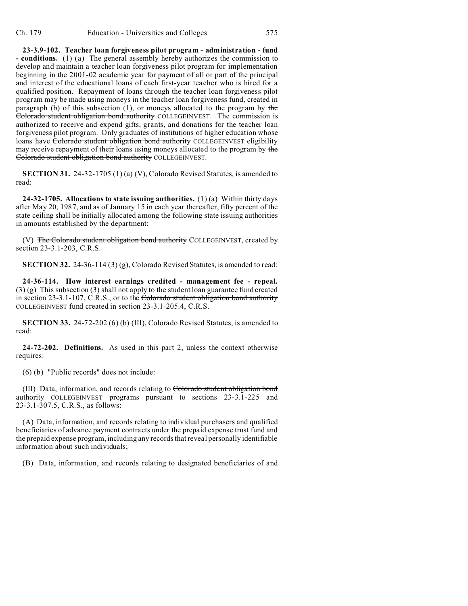**23-3.9-102. Teacher loan forgiveness pilot program - administration - fund - conditions.** (1) (a) The general assembly hereby authorizes the commission to develop and maintain a teacher loan forgiveness pilot program for implementation beginning in the 2001-02 academic year for payment of all or part of the principal and interest of the educational loans of each first-year teacher who is hired for a qualified position. Repayment of loans through the teacher loan forgiveness pilot program may be made using moneys in the teacher loan forgiveness fund, created in paragraph (b) of this subsection (1), or moneys allocated to the program by the Colorado student obligation bond authority COLLEGEINVEST. The commission is authorized to receive and expend gifts, grants, and donations for the teacher loan forgiveness pilot program. Only graduates of institutions of higher education whose loans have Colorado student obligation bond authority COLLEGEINVEST eligibility may receive repayment of their loans using moneys allocated to the program by the Colorado student obligation bond authority COLLEGEINVEST.

**SECTION 31.** 24-32-1705 (1) (a) (V), Colorado Revised Statutes, is amended to read:

**24-32-1705. Allocations to state issuing authorities.** (1) (a) Within thirty days after May 20, 1987, and as of January 15 in each year thereafter, fifty percent of the state ceiling shall be initially allocated among the following state issuing authorities in amounts established by the department:

(V) The Colorado student obligation bond authority COLLEGEINVEST, created by section 23-3.1-203, C.R.S.

**SECTION 32.** 24-36-114 (3) (g), Colorado Revised Statutes, is amended to read:

**24-36-114. How interest earnings credited - management fee - repeal.** (3) (g) This subsection (3) shall not apply to the student loan guarantee fund created in section 23-3.1-107, C.R.S., or to the Colorado student obligation bond authority COLLEGEINVEST fund created in section 23-3.1-205.4, C.R.S.

**SECTION 33.** 24-72-202 (6) (b) (III), Colorado Revised Statutes, is amended to read:

**24-72-202. Definitions.** As used in this part 2, unless the context otherwise requires:

(6) (b) "Public records" does not include:

(III) Data, information, and records relating to Colorado student obligation bond authority COLLEGEINVEST programs pursuant to sections 23-3.1-225 and 23-3.1-307.5, C.R.S., as follows:

(A) Data, information, and records relating to individual purchasers and qualified beneficiaries of advance payment contracts under the prepaid expense trust fund and the prepaid expense program, including any records that reveal personally identifiable information about such individuals;

(B) Data, information, and records relating to designated beneficiaries of and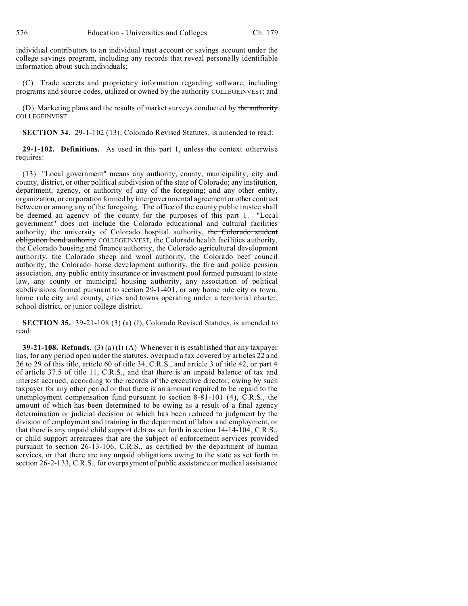individual contributors to an individual trust account or savings account under the college savings program, including any records that reveal personally identifiable information about such individuals;

(C) Trade secrets and proprietary information regarding software, including programs and source codes, utilized or owned by the authority COLLEGEINVEST; and

(D) Marketing plans and the results of market surveys conducted by the authority COLLEGEINVEST.

**SECTION 34.** 29-1-102 (13), Colorado Revised Statutes, is amended to read:

**29-1-102. Definitions.** As used in this part 1, unless the context otherwise requires:

(13) "Local government" means any authority, county, municipality, city and county, district, or other political subdivision of the state of Colorado; any institution, department, agency, or authority of any of the foregoing; and any other entity, organization, or corporation formed by intergovernmental agreement or other contract between or among any of the foregoing. The office of the county public trustee shall be deemed an agency of the county for the purposes of this part 1. "Local government" does not include the Colorado educational and cultural facilities authority, the university of Colorado hospital authority, the Colorado student obligation bond authority COLLEGEINVEST, the Colorado health facilities authority, the Colorado housing and finance authority, the Colorado agricultural development authority, the Colorado sheep and wool authority, the Colorado beef council authority, the Colorado horse development authority, the fire and police pension association, any public entity insurance or investment pool formed pursuant to state law, any county or municipal housing authority, any association of political subdivisions formed pursuant to section 29-1-401, or any home rule city or town, home rule city and county, cities and towns operating under a territorial charter, school district, or junior college district.

**SECTION 35.** 39-21-108 (3) (a) (I), Colorado Revised Statutes, is amended to read:

**39-21-108. Refunds.** (3) (a) (I) (A) Whenever it is established that any taxpayer has, for any period open under the statutes, overpaid a tax covered by articles 22 and 26 to 29 of this title, article 60 of title 34, C.R.S., and article 3 of title 42, or part 4 of article 37.5 of title 11, C.R.S., and that there is an unpaid balance of tax and interest accrued, according to the records of the executive director, owing by such taxpayer for any other period or that there is an amount required to be repaid to the unemployment compensation fund pursuant to section 8-81-101 (4), C.R.S., the amount of which has been determined to be owing as a result of a final agency determination or judicial decision or which has been reduced to judgment by the division of employment and training in the department of labor and employment, or that there is any unpaid child support debt as set forth in section 14-14-104, C.R.S., or child support arrearages that are the subject of enforcement services provided pursuant to section 26-13-106, C.R.S., as certified by the department of human services, or that there are any unpaid obligations owing to the state as set forth in section 26-2-133, C.R.S., for overpayment of public assistance or medical assistance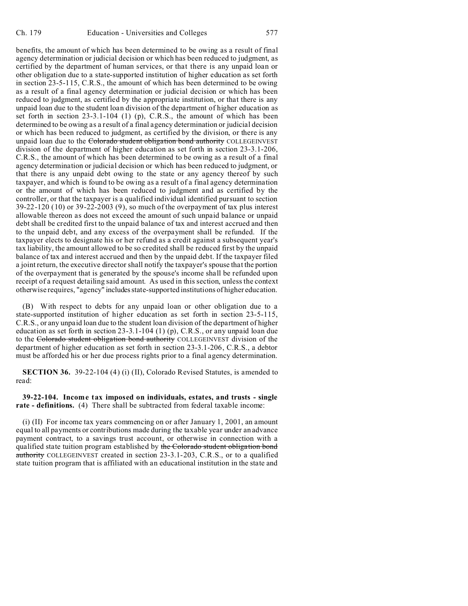benefits, the amount of which has been determined to be owing as a result of final agency determination or judicial decision or which has been reduced to judgment, as certified by the department of human services, or that there is any unpaid loan or other obligation due to a state-supported institution of higher education as set forth in section 23-5-115, C.R.S., the amount of which has been determined to be owing as a result of a final agency determination or judicial decision or which has been reduced to judgment, as certified by the appropriate institution, or that there is any unpaid loan due to the student loan division of the department of higher education as set forth in section 23-3.1-104 (1) (p), C.R.S., the amount of which has been determined to be owing as a result of a final agency determination or judicial decision or which has been reduced to judgment, as certified by the division, or there is any unpaid loan due to the Colorado student obligation bond authority COLLEGEINVEST division of the department of higher education as set forth in section 23-3.1-206, C.R.S., the amount of which has been determined to be owing as a result of a final agency determination or judicial decision or which has been reduced to judgment, or that there is any unpaid debt owing to the state or any agency thereof by such taxpayer, and which is found to be owing as a result of a final agency determination or the amount of which has been reduced to judgment and as certified by the controller, or that the taxpayer is a qualified individual identified pursuant to section 39-22-120 (10) or 39-22-2003 (9), so much of the overpayment of tax plus interest allowable thereon as does not exceed the amount of such unpaid balance or unpaid debt shall be credited first to the unpaid balance of tax and interest accrued and then to the unpaid debt, and any excess of the overpayment shall be refunded. If the taxpayer elects to designate his or her refund as a credit against a subsequent year's tax liability, the amount allowed to be so credited shall be reduced first by the unpaid balance of tax and interest accrued and then by the unpaid debt. If the taxpayer filed a joint return, the executive director shall notify the taxpayer's spouse that the portion of the overpayment that is generated by the spouse's income shall be refunded upon receipt of a request detailing said amount. As used in this section, unless the context otherwise requires, "agency" includes state-supported institutions of higher education.

(B) With respect to debts for any unpaid loan or other obligation due to a state-supported institution of higher education as set forth in section 23-5-115, C.R.S., or any unpaid loan due to the student loan division of the department of higher education as set forth in section 23-3.1-104 (1) (p), C.R.S., or any unpaid loan due to the Colorado student obligation bond authority COLLEGEINVEST division of the department of higher education as set forth in section 23-3.1-206, C.R.S., a debtor must be afforded his or her due process rights prior to a final agency determination.

**SECTION 36.** 39-22-104 (4) (i) (II), Colorado Revised Statutes, is amended to read:

**39-22-104. Income tax imposed on individuals, estates, and trusts - single rate - definitions.** (4) There shall be subtracted from federal taxable income:

(i) (II) For income tax years commencing on or after January 1, 2001, an amount equal to all payments or contributions made during the taxable year under an advance payment contract, to a savings trust account, or otherwise in connection with a qualified state tuition program established by the Colorado student obligation bond authority COLLEGEINVEST created in section 23-3.1-203, C.R.S., or to a qualified state tuition program that is affiliated with an educational institution in the state and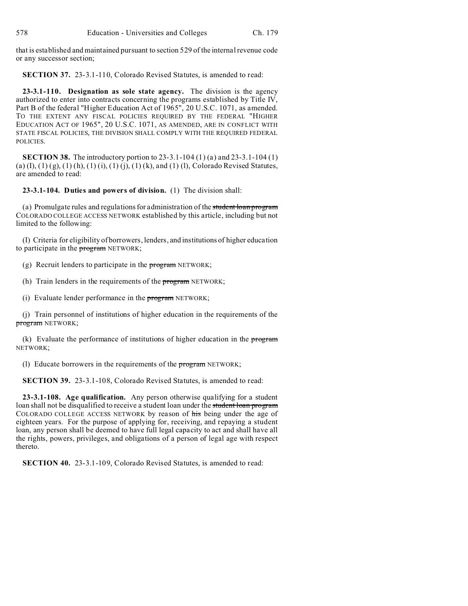that is established and maintained pursuant to section 529 of the internal revenue code or any successor section;

**SECTION 37.** 23-3.1-110, Colorado Revised Statutes, is amended to read:

**23-3.1-110. Designation as sole state agency.** The division is the agency authorized to enter into contracts concerning the programs established by Title IV, Part B of the federal "Higher Education Act of 1965", 20 U.S.C. 1071, as amended. TO THE EXTENT ANY FISCAL POLICIES REQUIRED BY THE FEDERAL "HIGHER EDUCATION ACT OF 1965", 20 U.S.C. 1071, AS AMENDED, ARE IN CONFLICT WITH STATE FISCAL POLICIES, THE DIVISION SHALL COMPLY WITH THE REQUIRED FEDERAL POLICIES.

**SECTION 38.** The introductory portion to 23-3.1-104 (1) (a) and 23-3.1-104 (1) (a) (I), (1) (g), (1) (h), (1) (i), (1) (j), (1) (k), and (1) (l), Colorado Revised Statutes, are amended to read:

**23-3.1-104. Duties and powers of division.** (1) The division shall:

(a) Promulgate rules and regulations for administration of the student loan program COLORADO COLLEGE ACCESS NETWORK established by this article, including but not limited to the following:

(I) Criteria for eligibility of borrowers, lenders, and institutions of higher education to participate in the **program** NETWORK;

(g) Recruit lenders to participate in the  $\frac{1}{100}$  NETWORK;

(h) Train lenders in the requirements of the **program** NETWORK;

(i) Evaluate lender performance in the  $\frac{1}{100}$  NETWORK;

(j) Train personnel of institutions of higher education in the requirements of the program NETWORK;

(k) Evaluate the performance of institutions of higher education in the program NETWORK;

(I) Educate borrowers in the requirements of the **program** NETWORK;

**SECTION 39.** 23-3.1-108, Colorado Revised Statutes, is amended to read:

**23-3.1-108. Age qualification.** Any person otherwise qualifying for a student loan shall not be disqualified to receive a student loan under the student loan program COLORADO COLLEGE ACCESS NETWORK by reason of his being under the age of eighteen years. For the purpose of applying for, receiving, and repaying a student loan, any person shall be deemed to have full legal capacity to act and shall have all the rights, powers, privileges, and obligations of a person of legal age with respect thereto.

**SECTION 40.** 23-3.1-109, Colorado Revised Statutes, is amended to read: